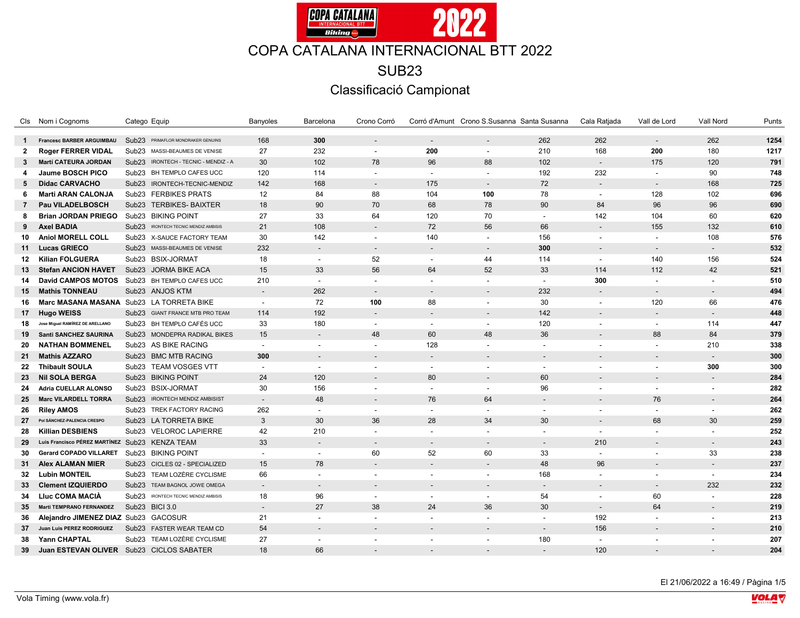

|                | Cls Nom i Cognoms                              | Catego Equip                                 | Banyoles                 | Barcelona                   | Crono Corró              |                          | Corró d'Amunt Crono S.Susanna Santa Susanna |                          | Cala Ratjada             | Vall de Lord             | Vall Nord                | Punts |
|----------------|------------------------------------------------|----------------------------------------------|--------------------------|-----------------------------|--------------------------|--------------------------|---------------------------------------------|--------------------------|--------------------------|--------------------------|--------------------------|-------|
| $\mathbf{1}$   | <b>Francesc BARBER ARGUIMBAU</b>               | Sub23 PRIMAFLOR MONDRAKER GENUINS            | 168                      | 300                         | $\overline{a}$           | $\overline{\phantom{a}}$ | $\overline{a}$                              | 262                      | 262                      | $\overline{\phantom{a}}$ | 262                      | 1254  |
| $\mathbf{2}$   | <b>Roger FERRER VIDAL</b>                      | Sub <sub>23</sub><br>MASSI-BEAUMES DE VENISE | 27                       | 232                         | $\overline{\phantom{a}}$ | 200                      | $\overline{\phantom{a}}$                    | 210                      | 168                      | 200                      | 180                      | 1217  |
| 3              | Martí CATEURA JORDAN                           | Sub23 IRONTECH - TECNIC - MENDIZ - A         | 30                       | 102                         | 78                       | 96                       | 88                                          | 102                      | $\sim$                   | 175                      | 120                      | 791   |
| 4              | Jaume BOSCH PICO                               | Sub23 BH TEMPLO CAFES UCC                    | 120                      | 114                         | $\overline{a}$           | $\sim$                   | $\overline{a}$                              | 192                      | 232                      | $\sim$                   | 90                       | 748   |
| 5              | <b>Didac CARVACHO</b>                          | Sub23 IRONTECH-TECNIC-MENDIZ                 | 142                      | 168                         | $\overline{\phantom{a}}$ | 175                      |                                             | 72                       |                          |                          | 168                      | 725   |
| 6              | <b>Marti ARAN CALONJA</b>                      | Sub23 FERBIKES PRATS                         | 12                       | 84                          | 88                       | 104                      | 100                                         | 78                       | $\sim$                   | 128                      | 102                      | 696   |
| $\overline{7}$ | Pau VILADELBOSCH                               | Sub23 TERBIKES- BAIXTER                      | 18                       | 90                          | 70                       | 68                       | 78                                          | 90                       | 84                       | 96                       | 96                       | 690   |
| 8              | <b>Brian JORDAN PRIEGO</b>                     | Sub23 BIKING POINT                           | 27                       | 33                          | 64                       | 120                      | 70                                          | $\overline{a}$           | 142                      | 104                      | 60                       | 620   |
| 9              | <b>Axel BADIA</b>                              | Sub23 IRONTECH TECNIC MENDIZ AMBISIS         | 21                       | 108                         | $\overline{\phantom{a}}$ | 72                       | 56                                          | 66                       | $\sim$                   | 155                      | 132                      | 610   |
| 10             | Aniol MORELL COLL                              | Sub23 X-SAUCE FACTORY TEAM                   | 30                       | 142                         | $\sim$                   | 140                      | $\overline{\phantom{a}}$                    | 156                      | $\sim$                   | $\blacksquare$           | 108                      | 576   |
| 11             | <b>Lucas GRIECO</b>                            | Sub23 MASSI-BEAUMES DE VENISE                | 232                      | $\overline{\phantom{a}}$    | $\overline{\phantom{a}}$ | $\sim$                   | $\overline{\phantom{a}}$                    | 300                      |                          | $\overline{\phantom{a}}$ |                          | 532   |
| 12             | <b>Kilian FOLGUERA</b>                         | Sub23 BSIX-JORMAT                            | 18                       | $\sim$                      | 52                       | $\sim$                   | 44                                          | 114                      |                          | 140                      | 156                      | 524   |
| 13             | <b>Stefan ANCION HAVET</b>                     | Sub23 JORMA BIKE ACA                         | 15                       | 33                          | 56                       | 64                       | 52                                          | 33                       | 114                      | 112                      | 42                       | 521   |
| 14             | <b>David CAMPOS MOTOS</b>                      | Sub23 BH TEMPLO CAFES UCC                    | 210                      | $\blacksquare$              | $\blacksquare$           | $\overline{\phantom{a}}$ | $\overline{\phantom{a}}$                    | $\overline{\phantom{a}}$ | 300                      | $\overline{\phantom{a}}$ |                          | 510   |
| 15             | <b>Mathis TONNEAU</b>                          | Sub23 ANJOS KTM                              | $\sim$                   | 262                         | $\overline{a}$           | $\overline{\phantom{a}}$ | $\overline{a}$                              | 232                      | $\sim$                   | $\overline{\phantom{a}}$ | $\overline{\phantom{a}}$ | 494   |
| 16             |                                                | Marc MASANA MASANA Sub23 LA TORRETA BIKE     | $\sim$                   | 72                          | 100                      | 88                       | $\sim$                                      | 30                       | $\sim$                   | 120                      | 66                       | 476   |
| 17             | <b>Hugo WEISS</b>                              | Sub23 GIANT FRANCE MTB PRO TEAM              | 114                      | 192                         | $\overline{\phantom{a}}$ | $\sim$                   | $\overline{\phantom{a}}$                    | 142                      | $\overline{\phantom{a}}$ | $\overline{\phantom{a}}$ |                          | 448   |
| 18             | Jose Miguel RAMÍREZ DE ARELLANO                | Sub23 BH TEMPLO CAFÉS UCC                    | 33                       | 180                         | $\mathbf{r}$             | $\overline{a}$           | $\sim$                                      | 120                      |                          | $\sim$                   | 114                      | 447   |
| 19             | <b>Santi SANCHEZ SAURINA</b>                   | Sub23 MONDEPRA RADIKAL BIKES                 | 15                       | $\overline{\phantom{a}}$    | 48                       | 60                       | 48                                          | 36                       |                          | 88                       | 84                       | 379   |
| 20             | <b>NATHAN BOMMENEL</b>                         | Sub23 AS BIKE RACING                         | $\sim$                   | $\overline{\phantom{a}}$    | $\sim$                   | 128                      | $\overline{\phantom{a}}$                    | $\sim$                   | $\sim$                   | $\sim$                   | 210                      | 338   |
| 21             | <b>Mathis AZZARO</b>                           | Sub23 BMC MTB RACING                         | 300                      | $\blacksquare$              | $\overline{\phantom{0}}$ | $\sim$                   |                                             | $\sim$                   |                          |                          |                          | 300   |
| 22             | <b>Thibault SOULA</b>                          | Sub23 TEAM VOSGES VTT                        |                          | $\overline{a}$              |                          | $\overline{\phantom{a}}$ |                                             | $\overline{a}$           |                          |                          | 300                      | 300   |
| 23             | <b>Nil SOLA BERGA</b>                          | Sub23 BIKING POINT                           | 24                       | 120                         | $\overline{\phantom{a}}$ | 80                       | $\overline{\phantom{a}}$                    | 60                       |                          | $\overline{\phantom{a}}$ | ÷                        | 284   |
| 24             | <b>Adria CUELLAR ALONSO</b>                    | Sub23 BSIX-JORMAT                            | 30                       | 156                         | $\blacksquare$           | $\sim$                   | $\overline{\phantom{a}}$                    | 96                       |                          | $\sim$                   |                          | 282   |
| 25             | <b>Marc VILARDELL TORRA</b>                    | Sub23 IRONTECH MENDIZ AMBISIST               | $\overline{a}$           | 48                          | $\overline{\phantom{a}}$ | 76                       | 64                                          | $\sim$                   |                          | 76                       |                          | 264   |
| 26             | <b>Riley AMOS</b>                              | Sub23 TREK FACTORY RACING                    | 262                      | $\overline{\phantom{a}}$    | $\sim$                   | $\sim$                   | $\overline{\phantom{a}}$                    | $\sim$                   |                          | $\sim$                   |                          | 262   |
| 27             | Pol SÁNCHEZ-PALENCIA CRESPO                    | Sub23 LA TORRETA BIKE                        | 3                        | 30                          | 36                       | 28                       | 34                                          | 30                       |                          | 68                       | 30                       | 259   |
| 28             | <b>Killian DESBIENS</b>                        | Sub23 VELOROC LAPIERRE                       | 42                       | 210                         |                          | $\overline{\phantom{a}}$ |                                             |                          |                          |                          |                          | 252   |
| 29             | Luis Francisco PÉREZ MARTÍNEZ Sub23 KENZA TEAM |                                              | 33                       | $\sim$                      | $\overline{\phantom{a}}$ | $\overline{\phantom{a}}$ | $\sim$                                      | $\sim$                   | 210                      | $\overline{\phantom{a}}$ | $\overline{\phantom{a}}$ | 243   |
| 30             | <b>Gerard COPADO VILLARET</b>                  | Sub23 BIKING POINT                           | $\sim$                   | $\tilde{\phantom{a}}$       | 60                       | 52                       | 60                                          | 33                       | $\sim$                   | $\overline{\phantom{a}}$ | 33                       | 238   |
| 31             | <b>Alex ALAMAN MIER</b>                        | Sub23 CICLES 02 - SPECIALIZED                | 15                       | 78                          | $\overline{\phantom{a}}$ | $\overline{\phantom{a}}$ | $\overline{a}$                              | 48                       | 96                       |                          |                          | 237   |
| 32             | <b>Lubin MONTEIL</b>                           | Sub23 TEAM LOZÈRE CYCLISME                   | 66                       | $\overline{\phantom{a}}$    | $\blacksquare$           | $\sim$                   | $\overline{\phantom{a}}$                    | 168                      | $\blacksquare$           | $\overline{\phantom{a}}$ |                          | 234   |
| 33             | <b>Clement IZQUIERDO</b>                       | Sub23 TEAM BAGNOL JOWE OMEGA                 | $\sim$                   | $\mathcal{L}_{\mathcal{A}}$ | $\overline{\phantom{a}}$ | $\overline{\phantom{a}}$ | $\overline{\phantom{a}}$                    | $\sim$                   | $\sim$                   | $\sim$                   | 232                      | 232   |
| 34             | Lluc COMA MACIÀ                                | Sub23 IRONTECH TECNIC MENDIZ AMBISIS         | 18                       | 96                          | $\blacksquare$           | $\sim$                   | $\sim$                                      | 54                       |                          | 60                       |                          | 228   |
| 35             | <b>Marti TEMPRANO FERNANDEZ</b>                | Sub23 BICI 3.0                               | $\overline{\phantom{a}}$ | 27                          | 38                       | 24                       | 36                                          | 30                       | $\sim$                   | 64                       |                          | 219   |
| 36             | Alejandro JIMENEZ DIAZ Sub23 GACOSUR           |                                              | 21                       | $\overline{a}$              | $\overline{a}$           | $\overline{a}$           | $\overline{\phantom{a}}$                    | $\overline{a}$           | 192                      | $\sim$                   |                          | 213   |
| 37             | Juan Luis PEREZ RODRIGUEZ                      | Sub23 FASTER WEAR TEAM CD                    | 54                       |                             |                          | $\overline{\phantom{a}}$ |                                             |                          | 156                      |                          |                          | 210   |
| 38             | Yann CHAPTAL                                   | Sub23 TEAM LOZÈRE CYCLISME                   | 27                       | $\overline{a}$              |                          | $\overline{\phantom{a}}$ |                                             | 180                      |                          |                          |                          | 207   |
| 39             |                                                | Juan ESTEVAN OLIVER Sub23 CICLOS SABATER     | 18                       | 66                          |                          |                          |                                             |                          | 120                      |                          |                          | 204   |

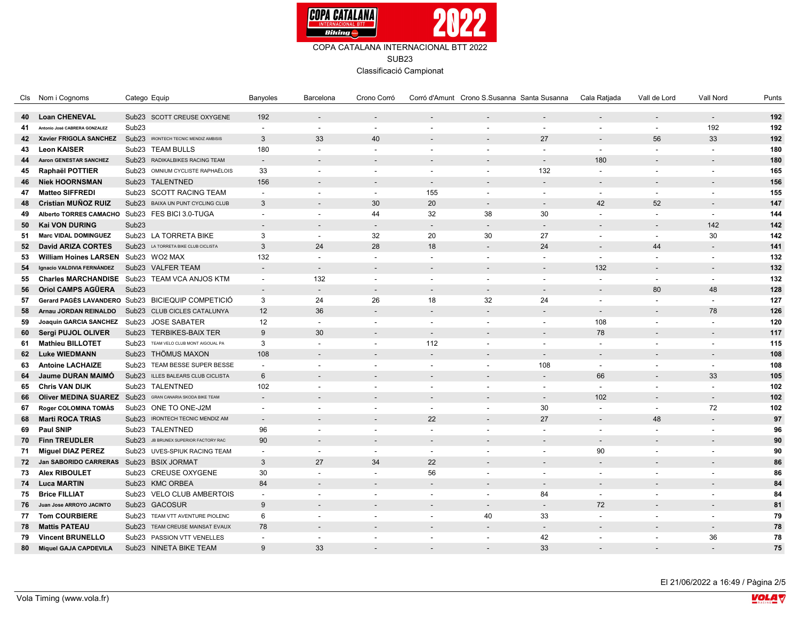

Classificació Campionat

|    | Cls Nom i Cognoms                         | Catego Equip                                       | Banyoles                 | Barcelona                | Crono Corró              |                          | Corró d'Amunt Crono S.Susanna Santa Susanna |                                | Cala Ratjada             | Vall de Lord                 | <b>Vall Nord</b>         | Punts      |
|----|-------------------------------------------|----------------------------------------------------|--------------------------|--------------------------|--------------------------|--------------------------|---------------------------------------------|--------------------------------|--------------------------|------------------------------|--------------------------|------------|
| 40 | <b>Loan CHENEVAL</b>                      | Sub23 SCOTT CREUSE OXYGENE                         | 192                      |                          |                          |                          |                                             |                                |                          | $\qquad \qquad \blacksquare$ |                          | 192        |
| 41 | Antonio José CABRERA GONZALEZ             | Sub <sub>23</sub>                                  | $\overline{a}$           | $\sim$                   | $\sim$                   |                          |                                             | $\overline{\phantom{a}}$       | $\overline{a}$           | $\overline{\phantom{a}}$     | 192                      | 192        |
| 42 | Xavier FRIGOLA SANCHEZ                    | Sub23 IRONTECH TECNIC MENDIZ AMBISIS               | $\mathbf{3}$             | 33                       | 40                       |                          |                                             | 27                             |                          | 56                           | 33                       | 192        |
| 43 | <b>Leon KAISER</b>                        | Sub23 TEAM BULLS                                   | 180                      | $\sim$                   | $\overline{\phantom{a}}$ | $\sim$                   | $\overline{\phantom{a}}$                    | $\blacksquare$                 | $\sim$                   | $\sim$                       | $\overline{\phantom{a}}$ | 180        |
| 44 | <b>Aaron GENESTAR SANCHEZ</b>             | Sub23 RADIKALBIKES RACING TEAM                     | $\overline{a}$           |                          |                          |                          |                                             |                                | 180                      |                              |                          | 180        |
| 45 | Raphaël POTTIER                           | Sub23 OMNIUM CYCLISTE RAPHAËLOIS                   | 33                       | $\overline{\phantom{a}}$ | $\sim$                   | $\sim$                   | $\blacksquare$                              | 132                            | $\sim$                   | $\overline{\phantom{a}}$     | $\overline{\phantom{a}}$ | 165        |
| 46 | <b>Niek HOORNSMAN</b>                     | Sub23 TALENTNED                                    | 156                      |                          |                          | $\overline{\phantom{a}}$ |                                             |                                | $\overline{\phantom{a}}$ |                              |                          | 156        |
| 47 | <b>Matteo SIFFREDI</b>                    | Sub23 SCOTT RACING TEAM                            | $\overline{\phantom{a}}$ | $\sim$                   | $\overline{\phantom{a}}$ | 155                      | $\overline{\phantom{a}}$                    | $\overline{\phantom{a}}$       | $\sim$                   | $\sim$                       | $\blacksquare$           | 155        |
|    | Cristian MUÑOZ RUIZ                       | Sub23 BAIXA UN PUNT CYCLING CLUB                   | $\mathbf{3}$             |                          | 30                       | 20                       |                                             |                                | 42                       | 52                           |                          | 147        |
| 48 | Alberto TORRES CAMACHO                    |                                                    | $\sim$                   | $\sim$                   | 44                       |                          |                                             |                                | $\overline{\phantom{a}}$ | $\overline{\phantom{a}}$     | $\overline{\phantom{a}}$ |            |
| 49 | <b>Kai VON DURING</b>                     | Sub23 FES BICI 3.0-TUGA<br>Sub <sub>23</sub>       |                          | $\overline{\phantom{a}}$ | $\sim$                   | 32                       | 38                                          | 30<br>$\overline{\phantom{a}}$ |                          |                              | 142                      | 144<br>142 |
| 50 |                                           |                                                    | $\overline{a}$           |                          |                          | $\overline{\phantom{a}}$ | $\overline{\phantom{a}}$                    |                                | $\overline{\phantom{a}}$ | $\overline{\phantom{a}}$     |                          |            |
| 51 | <b>Marc VIDAL DOMINGUEZ</b>               | Sub23 LA TORRETA BIKE                              | 3                        | $\sim$                   | 32                       | 20                       | 30                                          | 27                             | $\sim$                   | $\overline{\phantom{a}}$     | 30                       | 142        |
| 52 | <b>David ARIZA CORTES</b>                 | Sub <sub>23</sub><br>LA TORRETA BIKE CLUB CICLISTA | $\mathbf{3}$             | 24                       | 28                       | 18                       |                                             | 24                             |                          | 44                           |                          | 141        |
| 53 | William Hoines LARSEN Sub23 WO2 MAX       |                                                    | 132                      | $\sim$                   | $\sim$                   | $\sim$                   | $\overline{\phantom{a}}$                    | $\overline{a}$                 | $\sim$                   | $\overline{\phantom{a}}$     | $\blacksquare$           | 132        |
| 54 | Ignacio VALDIVIA FERNÁNDEZ                | Sub23 VALFER TEAM                                  | $\blacksquare$           | $\sim$                   |                          |                          |                                             | $\overline{\phantom{a}}$       | 132                      | $\overline{\phantom{a}}$     |                          | 132        |
| 55 |                                           | Charles MARCHANDISE Sub23 TEAM VCA ANJOS KTM       | $\sim$                   | 132                      | $\sim$                   | $\sim$                   | $\overline{\phantom{a}}$                    | $\overline{\phantom{a}}$       | $\sim$                   | $\overline{\phantom{a}}$     | $\sim$                   | 132        |
| 56 | Oriol CAMPS AGÜERA                        | Sub <sub>23</sub>                                  | $\overline{\phantom{0}}$ | $\overline{a}$           | $\overline{\phantom{a}}$ |                          |                                             |                                |                          | 80                           | 48                       | 128        |
| 57 |                                           | Gerard PAGÈS LAVANDERO Sub23 BICIEQUIP COMPETICIÓ  | 3                        | 24                       | 26                       | 18                       | 32                                          | 24                             | $\blacksquare$           | $\overline{\phantom{a}}$     | $\overline{\phantom{a}}$ | 127        |
| 58 | Arnau JORDAN REINALDO                     | Sub23 CLUB CICLES CATALUNYA                        | 12                       | 36                       |                          | $\overline{\phantom{a}}$ |                                             | $\overline{a}$                 | $\overline{\phantom{a}}$ | $\overline{\phantom{a}}$     | 78                       | 126        |
| 59 | Joaquin GARCIA SANCHEZ Sub23 JOSE SABATER |                                                    | 12                       | $\sim$                   | $\overline{a}$           | $\sim$                   | $\overline{\phantom{a}}$                    | $\sim$                         | 108                      | $\overline{\phantom{a}}$     | $\overline{\phantom{a}}$ | 120        |
| 60 | Sergi PUJOL OLIVER                        | Sub23 TERBIKES-BAIX TER                            | 9                        | 30                       |                          |                          |                                             |                                | 78                       |                              |                          | 117        |
| 61 | <b>Mathieu BILLOTET</b>                   | Sub23 TEAM VELO CLUB MONT AIGOUAL PA               | 3                        | $\sim$                   | $\overline{\phantom{a}}$ | 112                      | $\overline{\phantom{a}}$                    | $\overline{\phantom{a}}$       | $\sim$                   | $\overline{\phantom{a}}$     | $\blacksquare$           | 115        |
| 62 | <b>Luke WIEDMANN</b>                      | Sub23 THÖMUS MAXON                                 | 108                      | $\overline{\phantom{a}}$ |                          |                          |                                             | $\blacksquare$                 | $\overline{\phantom{a}}$ |                              |                          | 108        |
| 63 | <b>Antoine LACHAIZE</b>                   | Sub23 TEAM BESSE SUPER BESSE                       | $\sim$                   | $\overline{\phantom{a}}$ | $\overline{\phantom{a}}$ | $\sim$                   | $\overline{\phantom{a}}$                    | 108                            | $\sim$                   | $\overline{\phantom{a}}$     | $\overline{\phantom{a}}$ | 108        |
| 64 | Jaume DURAN MAIMÓ                         | Sub23 ILLES BALEARS CLUB CICLISTA                  | $6\phantom{.}6$          | $\overline{a}$           |                          |                          |                                             | $\overline{a}$                 | 66                       | $\overline{a}$               | 33                       | 105        |
| 65 | <b>Chris VAN DIJK</b>                     | Sub23 TALENTNED                                    | 102                      | $\sim$                   | $\overline{\phantom{a}}$ | $\overline{\phantom{a}}$ | $\overline{\phantom{a}}$                    | $\blacksquare$                 | $\blacksquare$           | $\blacksquare$               | $\overline{\phantom{a}}$ | 102        |
| 66 | Oliver MEDINA SUAREZ Sub23                | GRAN CANARIA SKODA BIKE TEAM                       | $\overline{a}$           | $\sim$                   |                          | $\overline{\phantom{a}}$ |                                             | $\blacksquare$                 | 102                      | $\blacksquare$               | $\overline{\phantom{a}}$ | 102        |
| 67 | Roger COLOMINA TOMAS                      | Sub23 ONE TO ONE-J2M                               | $\overline{\phantom{a}}$ | $\sim$                   | $\overline{\phantom{a}}$ | $\overline{\phantom{a}}$ | $\overline{\phantom{a}}$                    | 30                             | $\blacksquare$           | $\blacksquare$               | 72                       | 102        |
| 68 | <b>Marti ROCA TRIAS</b>                   | Sub23 IRONTECH TECNIC MENDIZ AM                    | $\overline{a}$           |                          |                          | 22                       |                                             | 27                             |                          | 48                           |                          | 97         |
| 69 | <b>Paul SNIP</b>                          | Sub23 TALENTNED                                    | 96                       | $\overline{\phantom{a}}$ | $\overline{\phantom{a}}$ | $\sim$                   | $\sim$                                      | $\overline{\phantom{a}}$       | $\blacksquare$           | $\blacksquare$               | $\blacksquare$           | 96         |
| 70 | <b>Finn TREUDLER</b>                      | Sub23 JB BRUNEX SUPERIOR FACTORY RAC               | 90                       | $\overline{a}$           |                          | $\overline{\phantom{a}}$ |                                             | $\sim$                         | $\overline{\phantom{a}}$ |                              |                          | 90         |
| 71 | <b>Miguel DIAZ PEREZ</b>                  | Sub23 UVES-SPIUK RACING TEAM                       | $\blacksquare$           | $\sim$                   | $\overline{\phantom{a}}$ | $\sim$                   | $\overline{\phantom{a}}$                    | $\blacksquare$                 | 90                       | $\overline{\phantom{a}}$     | $\overline{\phantom{a}}$ | 90         |
| 72 | <b>Jan SABORIDO CARRERAS</b>              | Sub23 BSIX JORMAT                                  | 3                        | 27                       | 34                       | 22                       |                                             | $\overline{\phantom{a}}$       |                          | $\overline{a}$               |                          | 86         |
| 73 | <b>Alex RIBOULET</b>                      | Sub23 CREUSE OXYGENE                               | 30                       | $\overline{a}$           | $\overline{\phantom{a}}$ | 56                       |                                             | $\overline{\phantom{a}}$       | $\blacksquare$           | $\overline{a}$               |                          | 86         |
| 74 | <b>Luca MARTIN</b>                        | Sub23 KMC ORBEA                                    | 84                       | $\sim$                   |                          | $\sim$                   |                                             | $\sim$                         | $\overline{\phantom{a}}$ |                              |                          | 84         |
| 75 | <b>Brice FILLIAT</b>                      | Sub23 VELO CLUB AMBERTOIS                          | $\blacksquare$           | $\sim$                   | $\overline{a}$           | $\overline{\phantom{a}}$ | $\blacksquare$                              | 84                             | $\blacksquare$           | $\overline{\phantom{a}}$     | $\overline{\phantom{a}}$ | 84         |
| 76 | Juan Jose ARROYO JACINTO                  | Sub23 GACOSUR                                      | 9                        |                          |                          |                          | $\sim$                                      | $\overline{\phantom{a}}$       | 72                       |                              |                          | 81         |
| 77 | <b>Tom COURBIERE</b>                      | Sub23 TEAM VTT AVENTURE PIOLENC                    | 6                        | $\sim$                   | $\overline{\phantom{a}}$ | $\overline{\phantom{a}}$ | 40                                          | 33                             | $\sim$                   | $\overline{\phantom{a}}$     | $\overline{\phantom{a}}$ | 79         |
| 78 | <b>Mattis PATEAU</b>                      | Sub <sub>23</sub><br>TEAM CREUSE MAINSAT EVAUX     | 78                       | $\overline{\phantom{a}}$ |                          |                          |                                             | $\overline{a}$                 |                          |                              | $\overline{\phantom{a}}$ | 78         |
| 79 | <b>Vincent BRUNELLO</b>                   | Sub23 PASSION VTT VENELLES                         | $\overline{\phantom{a}}$ | $\sim$                   | $\blacksquare$           | $\sim$                   | $\overline{\phantom{a}}$                    | 42                             | $\blacksquare$           | $\blacksquare$               | 36                       | 78         |
| 80 | <b>Miquel GAJA CAPDEVILA</b>              | Sub23 NINETA BIKE TEAM                             | $\mathsf{Q}$             | 33                       |                          |                          |                                             | 33                             |                          |                              |                          | 75         |

El 21/06/2022 a 16:49 / Pàgina 2/5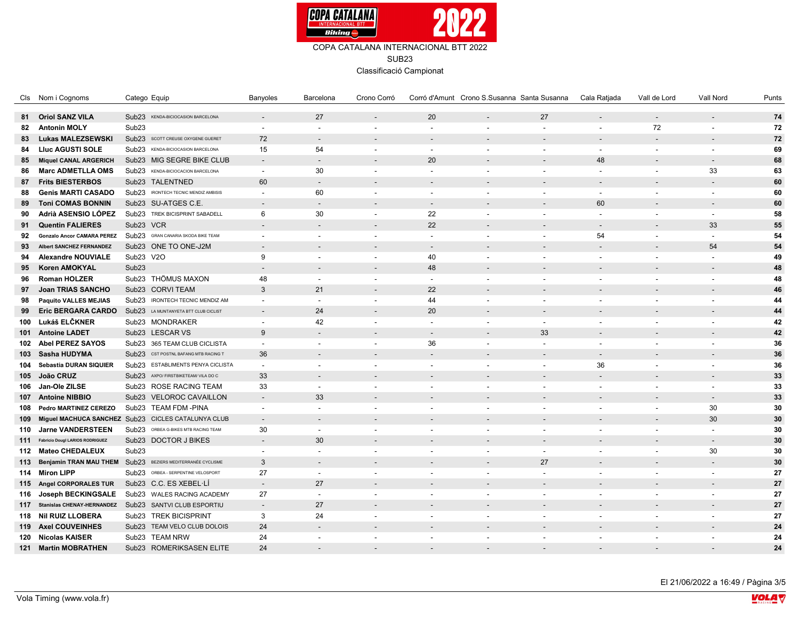

|     | Cls Nom i Cognoms                      | Catego Equip                                              | Banyoles                 | Barcelona                | Crono Corró              |                          |                          | Corró d'Amunt Crono S.Susanna Santa Susanna | Cala Ratjada             | Vall de Lord             | Vall Nord                | Punts |
|-----|----------------------------------------|-----------------------------------------------------------|--------------------------|--------------------------|--------------------------|--------------------------|--------------------------|---------------------------------------------|--------------------------|--------------------------|--------------------------|-------|
|     | 81 Oriol SANZ VILA                     | Sub23 KENDA-BICIOCASION BARCELONA                         | $\overline{a}$           | 27                       | $\sim$                   | 20                       | $\overline{\phantom{a}}$ | 27                                          | $\overline{\phantom{a}}$ | $\overline{\phantom{a}}$ | $\overline{\phantom{a}}$ | 74    |
| 82  | <b>Antonin MOLY</b>                    | Sub <sub>23</sub>                                         | $\overline{\phantom{a}}$ | $\overline{\phantom{a}}$ |                          | $\overline{\phantom{a}}$ | $\blacksquare$           | $\overline{\phantom{a}}$                    | $\overline{\phantom{a}}$ | 72                       |                          | 72    |
| 83  | <b>Lukas MALEZSEWSKI</b>               | Sub23 SCOTT CREUSE OXYGENE GUERET                         | 72                       | $\overline{\phantom{a}}$ |                          |                          |                          | $\overline{\phantom{a}}$                    | $\overline{\phantom{a}}$ | $\overline{\phantom{a}}$ |                          | 72    |
| 84  | <b>Lluc AGUSTI SOLE</b>                | Sub23 KENDA-BICIOCASION BARCELONA                         | 15                       | 54                       | $\sim$                   | $\overline{\phantom{a}}$ |                          | $\overline{\phantom{a}}$                    | $\overline{\phantom{a}}$ | $\overline{\phantom{a}}$ |                          | 69    |
|     |                                        | Sub23 MIG SEGRE BIKE CLUB                                 |                          | $\overline{\phantom{a}}$ |                          | 20                       |                          | $\overline{a}$                              | 48                       | $\overline{\phantom{a}}$ | $\overline{\phantom{a}}$ | 68    |
| 85  | <b>Miquel CANAL ARGERICH</b>           |                                                           | $\overline{\phantom{a}}$ |                          |                          |                          |                          |                                             |                          |                          |                          |       |
| 86  | <b>Marc ADMETLLA OMS</b>               | Sub23 KENDA-BICIOCACION BARCELONA                         | $\blacksquare$           | 30                       |                          | $\overline{\phantom{a}}$ | $\overline{\phantom{a}}$ | $\overline{\phantom{a}}$                    | $\overline{\phantom{a}}$ | $\overline{\phantom{a}}$ | 33                       | 63    |
| 87  | <b>Frits BIESTERBOS</b>                | Sub23 TALENTNED                                           | 60                       | $\sim$                   |                          |                          |                          | $\overline{a}$                              | $\overline{\phantom{a}}$ |                          |                          | 60    |
| 88  | <b>Genis MARTI CASADO</b>              | Sub23 IRONTECH TECNIC MENDIZ AMBISIS                      | $\blacksquare$           | 60                       |                          | $\overline{\phantom{a}}$ |                          | $\overline{\phantom{a}}$                    | $\overline{\phantom{a}}$ | $\blacksquare$           |                          | 60    |
| 89  | <b>Toni COMAS BONNIN</b>               | Sub23 SU-ATGES C.E.                                       |                          | $\overline{\phantom{a}}$ |                          |                          |                          | $\overline{a}$                              | 60                       | $\overline{\phantom{a}}$ |                          | 60    |
| 90  | Adrià ASENSIO LÓPEZ                    | Sub23 TREK BICISPRINT SABADELL                            | 6                        | 30                       |                          | 22                       | $\overline{\phantom{a}}$ | $\blacksquare$                              | $\blacksquare$           | $\overline{\phantom{a}}$ | $\overline{\phantom{a}}$ | 58    |
| 91  | <b>Quentin FALIERES</b>                | Sub23 VCR                                                 |                          | $\overline{\phantom{a}}$ |                          | 22                       |                          | $\overline{a}$                              | $\overline{\phantom{a}}$ | $\overline{\phantom{a}}$ | 33                       | 55    |
| 92  | <b>Gonzalo Ancor CAMARA PEREZ</b>      | Sub23 GRAN CANARIA SKODA BIKE TEAM                        | $\blacksquare$           | $\blacksquare$           | $\blacksquare$           | $\sim$                   | $\blacksquare$           | $\blacksquare$                              | 54                       | $\overline{\phantom{a}}$ | $\overline{\phantom{a}}$ | 54    |
| 93  | <b>Albert SANCHEZ FERNANDEZ</b>        | Sub23 ONE TO ONE-J2M                                      |                          | $\overline{a}$           |                          |                          |                          |                                             | $\overline{\phantom{a}}$ |                          | 54                       | 54    |
| 94  | <b>Alexandre NOUVIALE</b>              | Sub23 V2O                                                 | 9                        | $\overline{\phantom{a}}$ | $\sim$                   | 40                       | $\overline{\phantom{a}}$ | $\overline{a}$                              | $\overline{\phantom{a}}$ | $\overline{\phantom{a}}$ | $\sim$                   | 49    |
| 95  | <b>Koren AMOKYAL</b>                   | Sub <sub>23</sub>                                         |                          | $\overline{\phantom{a}}$ |                          | 48                       |                          |                                             |                          |                          |                          | 48    |
| 96  | <b>Roman HOLZER</b>                    | Sub23 THÖMUS MAXON                                        | 48                       | $\overline{\phantom{a}}$ |                          | $\sim$                   | $\blacksquare$           | $\overline{a}$                              | $\blacksquare$           | $\overline{\phantom{a}}$ |                          | 48    |
| 97  | <b>Joan TRIAS SANCHO</b>               | Sub23 CORVI TEAM                                          | 3                        | 21                       |                          | 22                       |                          |                                             |                          |                          |                          | 46    |
| 98  | <b>Paquito VALLES MEJIAS</b>           | Sub23 IRONTECH TECNIC MENDIZ AM                           | $\sim$                   | $\overline{a}$           | $\overline{\phantom{a}}$ | 44                       | $\overline{\phantom{a}}$ | $\overline{\phantom{a}}$                    | $\blacksquare$           | $\overline{\phantom{a}}$ |                          | 44    |
| 99  | Eric BERGARA CARDO                     | Sub23 LA MUNTANYETA BTT CLUB CICLIST                      |                          | 24                       |                          | 20                       |                          |                                             |                          |                          |                          | 44    |
|     | 100 Lukáš ELČKNER                      | Sub23 MONDRAKER                                           | $\blacksquare$           | 42                       | $\overline{\phantom{a}}$ | $\sim$                   | $\overline{\phantom{a}}$ | $\overline{\phantom{a}}$                    | $\blacksquare$           | $\sim$                   |                          | 42    |
|     | 101 Antoine LADET                      | Sub23 LESCAR VS                                           | 9                        | $\overline{\phantom{a}}$ |                          |                          |                          | 33                                          |                          |                          |                          | 42    |
|     | 102 Abel PEREZ SAYOS                   | Sub23 365 TEAM CLUB CICLISTA                              | $\blacksquare$           | $\sim$                   | $\overline{\phantom{a}}$ | 36                       | $\overline{\phantom{a}}$ | $\overline{\phantom{a}}$                    | $\blacksquare$           | $\overline{\phantom{a}}$ | $\overline{\phantom{a}}$ | 36    |
|     | 103 Sasha HUDYMA                       | Sub23 CST POSTNL BAFANG MTB RACING T                      | 36                       |                          |                          |                          |                          |                                             | $\overline{\phantom{a}}$ |                          |                          | 36    |
|     | 104 Sebastia DURAN SIQUIER             | Sub23 ESTABLIMENTS PENYA CICLISTA                         | $\blacksquare$           | $\sim$                   |                          | $\overline{\phantom{a}}$ | $\sim$                   | $\blacksquare$                              | 36                       | $\blacksquare$           |                          | 36    |
|     | 105 João CRUZ                          | Sub23 AXPO/ FIRSTBIKETEAM/ VILA DO C                      | 33                       |                          |                          |                          |                          |                                             | $\overline{\phantom{a}}$ | $\overline{\phantom{a}}$ |                          | 33    |
| 106 | Jan-Ole ZILSE                          | Sub23 ROSE RACING TEAM                                    | 33                       | $\sim$                   |                          | $\overline{\phantom{a}}$ | $\blacksquare$           | $\overline{\phantom{a}}$                    | $\overline{\phantom{a}}$ | $\overline{\phantom{a}}$ |                          | 33    |
|     | 107 Antoine NIBBIO                     | Sub23 VELOROC CAVAILLON                                   | $\overline{\phantom{a}}$ | 33                       |                          |                          |                          |                                             | $\overline{\phantom{a}}$ | $\overline{\phantom{a}}$ | $\overline{a}$           | 33    |
|     | 108 Pedro MARTINEZ CEREZO              | Sub23 TEAM FDM -PINA                                      | $\blacksquare$           | $\sim$                   | $\blacksquare$           | $\sim$                   | $\blacksquare$           | $\blacksquare$                              | $\blacksquare$           | $\overline{\phantom{a}}$ | 30                       | 30    |
| 109 |                                        | Miguel MACHUCA SANCHEZ Sub23 CICLES CATALUNYA CLUB        | $\overline{\phantom{a}}$ |                          |                          |                          |                          |                                             |                          |                          | 30                       | 30    |
|     | 110 Jarne VANDERSTEEN                  | Sub23 ORBEA G-BIKES MTB RACING TEAM                       | 30                       | $\blacksquare$           |                          | $\overline{\phantom{a}}$ | $\sim$                   | $\overline{\phantom{a}}$                    | $\overline{\phantom{a}}$ | $\overline{\phantom{a}}$ | $\sim$                   | 30    |
| 111 | <b>Fabricio Dougl LARIOS RODRIGUEZ</b> | Sub23 DOCTOR J BIKES                                      | $\overline{\phantom{a}}$ | 30                       |                          |                          |                          |                                             |                          |                          | $\overline{\phantom{a}}$ | 30    |
|     | 112 Mateo CHEDALEUX                    | Sub <sub>23</sub>                                         | $\overline{\phantom{a}}$ | $\overline{a}$           | $\sim$                   | $\overline{\phantom{a}}$ | $\overline{\phantom{a}}$ | $\overline{a}$                              | $\overline{\phantom{a}}$ | $\sim$                   | 30                       | 30    |
| 113 | <b>Benjamin TRAN MAU THEM</b>          | BEZIERS MEDITERRANÉE CYCLISME<br>Sub <sub>23</sub>        | 3                        | $\overline{\phantom{a}}$ |                          |                          |                          | 27                                          |                          | $\overline{\phantom{a}}$ |                          | 30    |
|     | 114 Miron LIPP                         | Sub23 ORBEA - SERPENTINE VELOSPORT                        | 27                       | $\overline{\phantom{a}}$ | $\sim$                   | $\overline{\phantom{a}}$ | $\overline{\phantom{a}}$ | $\overline{\phantom{a}}$                    | $\blacksquare$           | $\overline{\phantom{a}}$ |                          | 27    |
|     | 115 Angel CORPORALES TUR               | Sub23 C.C. ES XEBEL LI                                    | $\overline{\phantom{a}}$ | 27                       |                          |                          |                          | $\overline{a}$                              | $\overline{\phantom{a}}$ |                          |                          | 27    |
|     | 116 Joseph BECKINGSALE                 | Sub23 WALES RACING ACADEMY                                | 27                       | $\overline{a}$           | $\blacksquare$           | $\overline{\phantom{a}}$ | $\overline{\phantom{a}}$ | $\overline{a}$                              | $\blacksquare$           | $\blacksquare$           |                          | 27    |
|     |                                        | 117 Stanislas CHENAY-HERNANDEZ Sub23 SANTVI CLUB ESPORTIU | $\overline{a}$           | 27                       |                          |                          |                          |                                             |                          |                          |                          | 27    |
|     | 118 Nil RUIZ LLOBERA                   | Sub23 TREK BICISPRINT                                     | 3                        | 24                       | $\overline{a}$           | $\overline{\phantom{a}}$ | $\overline{\phantom{a}}$ | $\overline{\phantom{a}}$                    | $\blacksquare$           | $\overline{\phantom{a}}$ | $\overline{\phantom{a}}$ | 27    |
|     | 119 Axel COUVEINHES                    | Sub23 TEAM VELO CLUB DOLOIS                               | 24                       | $\sim$                   |                          |                          |                          |                                             |                          |                          |                          | 24    |
|     | 120 Nicolas KAISER                     | Sub23 TEAM NRW                                            | 24                       | $\overline{\phantom{a}}$ |                          | $\overline{\phantom{a}}$ | $\overline{\phantom{a}}$ | $\overline{a}$                              | $\blacksquare$           | $\overline{\phantom{a}}$ |                          | 24    |
| 121 | <b>Martin MOBRATHEN</b>                | <b>ROMERIKSASEN ELITE</b><br>Sub <sub>23</sub>            | 24                       |                          |                          |                          |                          |                                             |                          |                          |                          | 24    |
|     |                                        |                                                           |                          |                          |                          |                          |                          |                                             |                          |                          |                          |       |

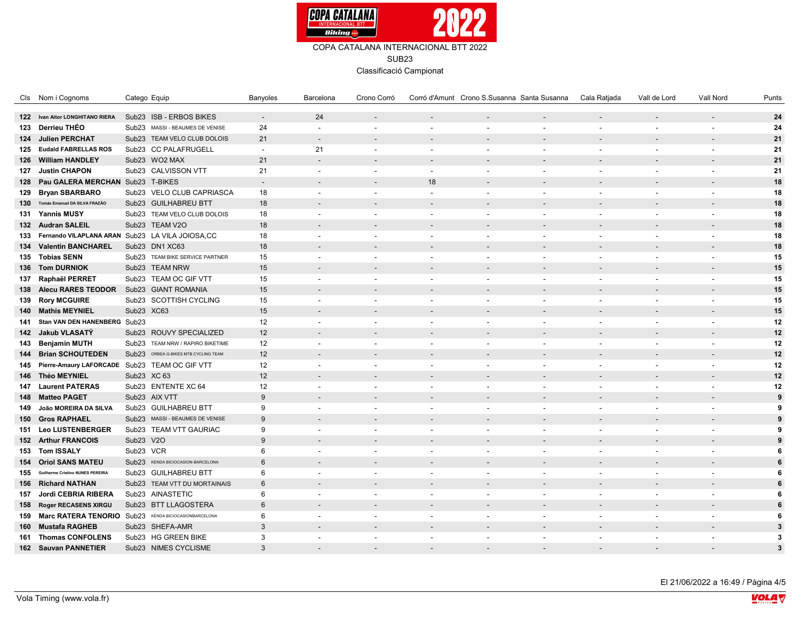

|     | Cls Nom i Cognoms                    | Catego Equip                                             | Banyoles                 | Barcelona                | Crono Corró              |                          | Corró d'Amunt Crono S.Susanna Santa Susanna |                          | Cala Ratjada             | Vall de Lord             | Vall Nord                | Punts          |
|-----|--------------------------------------|----------------------------------------------------------|--------------------------|--------------------------|--------------------------|--------------------------|---------------------------------------------|--------------------------|--------------------------|--------------------------|--------------------------|----------------|
|     | 122 Ivan Aitor LONGHITANO RIERA      | Sub23 ISB - ERBOS BIKES                                  |                          | 24                       |                          |                          |                                             | $\overline{a}$           | $\overline{\phantom{a}}$ |                          |                          | 24             |
|     | 123 Derrieu THÉO                     | Sub23 MASSI - BEAUMES DE VENISE                          | 24                       | $\sim$                   | $\overline{\phantom{a}}$ | $\overline{\phantom{a}}$ |                                             | $\blacksquare$           | $\overline{\phantom{a}}$ |                          |                          | 24             |
|     | 124 Julien PERCHAT                   | Sub23 TEAM VELO CLUB DOLOIS                              | 21                       | $\sim$                   |                          |                          |                                             |                          |                          |                          |                          | 21             |
|     | 125 Eudald FABRELLAS ROS             | Sub23 CC PALAFRUGELL                                     | $\sim$                   | 21                       | $\overline{a}$           | $\overline{\phantom{a}}$ | $\overline{\phantom{a}}$                    | $\blacksquare$           | $\overline{\phantom{a}}$ | $\overline{\phantom{a}}$ | $\overline{\phantom{a}}$ | 21             |
|     | 126 William HANDLEY                  | Sub23 WO2 MAX                                            | 21                       | $\overline{\phantom{a}}$ |                          |                          |                                             |                          |                          |                          |                          | 21             |
|     | 127 Justin CHAPON                    | Sub23 CALVISSON VTT                                      | 21                       | $\sim$                   | $\overline{a}$           | $\overline{\phantom{a}}$ | $\blacksquare$                              | $\blacksquare$           | $\overline{\phantom{a}}$ |                          |                          | 21             |
|     | 128 Pau GALERA MERCHAN Sub23 T-BIKES |                                                          | $\overline{\phantom{a}}$ |                          |                          | 18                       |                                             |                          |                          |                          |                          | $18$           |
|     |                                      |                                                          |                          |                          |                          |                          |                                             |                          |                          |                          |                          |                |
|     | 129 Bryan SBARBARO                   | Sub23 VELO CLUB CAPRIASCA<br>Sub23 GUILHABREU BTT        | 18<br>18                 | $\blacksquare$           |                          | $\overline{\phantom{a}}$ |                                             | $\overline{\phantom{a}}$ | $\overline{\phantom{a}}$ |                          |                          | 18<br>18       |
|     | 130 Tomás Emanuel DA SILVA FRAZÃO    |                                                          |                          |                          |                          |                          |                                             |                          |                          |                          |                          |                |
|     | 131 Yannis MUSY                      | Sub23 TEAM VELO CLUB DOLOIS                              | 18                       | $\overline{\phantom{a}}$ |                          | $\overline{\phantom{a}}$ |                                             | $\blacksquare$           | $\overline{\phantom{a}}$ |                          |                          | 18             |
|     | 132 Audran SALEIL                    | Sub23 TEAM V2O                                           | 18                       |                          |                          |                          |                                             |                          |                          |                          |                          | 18             |
|     |                                      | 133 Fernando VILAPLANA ARAN Sub23 LA VILA JOIOSA,CC      | 18                       | $\overline{\phantom{a}}$ | $\overline{a}$           | $\overline{\phantom{a}}$ | $\overline{\phantom{a}}$                    | $\blacksquare$           | $\overline{\phantom{a}}$ | $\overline{\phantom{a}}$ |                          | 18             |
|     | 134 Valentin BANCHAREL               | Sub23 DN1 XC63                                           | 18                       |                          |                          |                          |                                             |                          |                          |                          |                          | 18             |
|     | 135 Tobias SENN                      | Sub23 TEAM BIKE SERVICE PARTNER                          | 15                       | $\overline{\phantom{a}}$ | $\overline{\phantom{a}}$ | $\overline{\phantom{a}}$ | $\blacksquare$                              | $\blacksquare$           | $\overline{\phantom{a}}$ |                          | $\overline{\phantom{a}}$ | 15             |
|     | 136 Tom DURNIOK                      | Sub23 TEAM NRW                                           | 15                       |                          |                          |                          |                                             |                          |                          |                          |                          | 15             |
|     | 137 Raphaël PERRET                   | Sub23 TEAM OC GIF VTT                                    | 15                       | $\overline{\phantom{a}}$ |                          | $\overline{\phantom{a}}$ |                                             | $\overline{\phantom{a}}$ | $\overline{\phantom{a}}$ |                          |                          | 15             |
|     | 138 Alecu RARES TEODOR               | Sub23 GIANT ROMANIA                                      | 15                       |                          |                          |                          |                                             |                          |                          |                          |                          | 15             |
|     | 139 Rory MCGUIRE                     | Sub23 SCOTTISH CYCLING                                   | 15                       | $\overline{\phantom{a}}$ |                          | $\overline{\phantom{a}}$ |                                             | $\blacksquare$           | $\overline{\phantom{a}}$ |                          |                          | 15             |
|     | 140 Mathis MEYNIEL                   | Sub23 XC63                                               | 15                       | $\overline{\phantom{a}}$ |                          |                          |                                             |                          |                          |                          |                          | 15             |
| 141 | Stan VAN DEN HANENBERG Sub23         |                                                          | 12                       | $\mathbf{r}$             | $\overline{\phantom{a}}$ | $\overline{\phantom{a}}$ | $\overline{\phantom{a}}$                    | $\blacksquare$           | $\overline{\phantom{a}}$ |                          |                          | 12             |
|     | 142 Jakub VLASATÝ                    | Sub23 ROUVY SPECIALIZED                                  | 12                       |                          |                          |                          |                                             |                          |                          |                          |                          | 12             |
|     | 143 Benjamin MUTH                    | Sub23 TEAM NRW / RAPIRO BIKETIME                         | 12                       | $\mathbf{r}$             | $\overline{\phantom{a}}$ | $\overline{\phantom{a}}$ | $\overline{\phantom{a}}$                    | $\blacksquare$           | $\overline{\phantom{a}}$ |                          | $\overline{\phantom{a}}$ | 12             |
|     | 144 Brian SCHOUTEDEN                 | Sub23 ORBEA G-BIKES MTB CYCLING TEAM                     | 12                       |                          |                          |                          |                                             |                          |                          |                          |                          | 12             |
|     |                                      | 145 Pierre-Amaury LAFORCADE Sub23 TEAM OC GIF VTT        | 12                       | $\sim$                   |                          | $\overline{\phantom{a}}$ |                                             | $\blacksquare$           | $\blacksquare$           |                          |                          | 12             |
|     | 146 Théo MEYNIEL                     | Sub23 XC 63                                              | 12                       |                          |                          |                          |                                             |                          |                          |                          |                          | 12             |
|     | <b>147 Laurent PATERAS</b>           | Sub23 ENTENTE XC 64                                      | 12                       | $\overline{\phantom{a}}$ |                          | $\overline{\phantom{a}}$ |                                             | $\blacksquare$           | $\overline{\phantom{a}}$ |                          |                          | 12             |
|     | 148 Matteo PAGET                     | Sub23 AIX VTT                                            | 9                        | $\overline{\phantom{a}}$ |                          |                          |                                             |                          |                          |                          |                          | 9              |
|     | 149 João MOREIRA DA SILVA            | Sub23 GUILHABREU BTT                                     | 9                        | $\sim$                   | $\overline{\phantom{a}}$ | $\overline{\phantom{a}}$ |                                             | $\overline{\phantom{a}}$ | $\overline{\phantom{a}}$ |                          |                          | 9              |
|     | 150 Gros RAPHAEL                     | Sub23 MASSI - BEAUMES DE VENISE                          | 9                        |                          |                          |                          |                                             |                          |                          |                          |                          | 9              |
|     | 151 Leo LUSTENBERGER                 | Sub23 TEAM VTT GAURIAC                                   | 9                        | $\sim$                   | $\overline{\phantom{a}}$ | $\overline{\phantom{a}}$ | $\blacksquare$                              | $\blacksquare$           | $\overline{\phantom{a}}$ |                          |                          | 9              |
|     | <b>152 Arthur FRANCOIS</b>           | Sub23 V2O                                                | 9                        |                          |                          |                          |                                             |                          |                          |                          |                          | 9              |
|     | 153 Tom ISSALY                       | Sub23 VCR                                                | 6                        | $\overline{\phantom{a}}$ |                          | $\overline{\phantom{a}}$ |                                             | $\overline{\phantom{a}}$ | $\overline{\phantom{a}}$ |                          |                          | 6              |
|     | 154 Oriol SANS MATEU                 | Sub23 KENDA BICIOCASION-BARCELONA                        | 6                        |                          |                          |                          |                                             |                          |                          |                          |                          | 6              |
|     | 155 Guilherme Cristino NUNES PEREIRA | Sub23 GUILHABREU BTT                                     | 6                        | $\overline{\phantom{a}}$ |                          | $\overline{\phantom{a}}$ |                                             |                          | $\blacksquare$           |                          |                          | 6              |
|     | 156 Richard NATHAN                   | Sub23 TEAM VTT DU MORTAINAIS                             | 6                        | $\overline{\phantom{a}}$ |                          |                          |                                             |                          | $\overline{a}$           |                          |                          | 6              |
|     | 157 Jordi CEBRIA RIBERA              | Sub23 AINASTETIC                                         | 6                        | $\overline{\phantom{a}}$ | $\overline{a}$           | $\overline{\phantom{a}}$ | $\blacksquare$                              | $\blacksquare$           | $\overline{\phantom{a}}$ |                          |                          | 6              |
|     | 158 Roger RECASENS XIRGU             | Sub23 BTT LLAGOSTERA                                     | 6                        |                          |                          |                          |                                             |                          |                          |                          |                          | 6              |
|     |                                      | 159 Marc RATERA TENORIO Sub23 KENDA BICIOCASIONBARCELONA | 6                        | $\overline{\phantom{a}}$ | $\overline{a}$           | $\overline{\phantom{a}}$ | $\blacksquare$                              | $\overline{\phantom{a}}$ | $\overline{\phantom{a}}$ |                          |                          | 6              |
|     | 160 Mustafa RAGHEB                   | Sub23 SHEFA-AMR                                          | 3                        |                          |                          |                          |                                             |                          |                          |                          |                          | $\mathbf{3}$   |
|     | 161 Thomas CONFOLENS                 | Sub23 HG GREEN BIKE                                      | 3                        | $\overline{\phantom{a}}$ |                          |                          |                                             | $\overline{\phantom{a}}$ |                          |                          |                          | 3              |
|     |                                      |                                                          | $\mathcal{R}$            |                          |                          | $\sim$                   |                                             |                          | $\overline{\phantom{a}}$ |                          |                          |                |
|     | 162 Sauvan PANNETIER                 | Sub23 NIMES CYCLISME                                     |                          |                          |                          |                          |                                             |                          |                          |                          |                          | $\overline{3}$ |